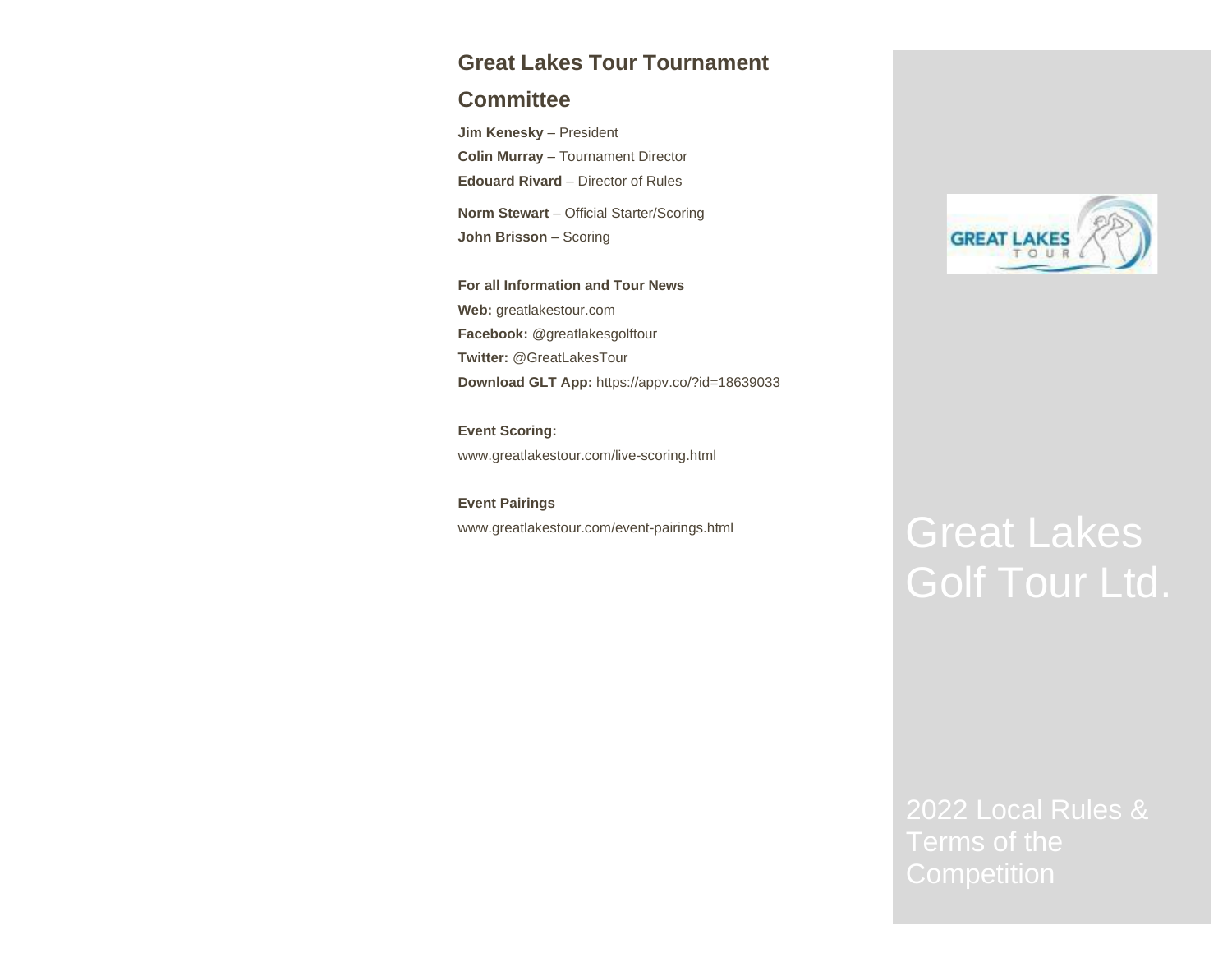# **Great Lakes Tour Tournament**

# **Committee**

**Jim Kenesky** – President **Colin Murray** – Tournament Director **Edouard Rivard** – Director of Rules

**Norm Stewart** – Official Starter/Scoring **John Brisson** – Scoring

**For all Information and Tour News Web:** [greatlakestour.com](http://www.greatlakestour.com/) **Facebook:** @greatlakesgolftour **Twitter:** @GreatLakesTour **Download GLT App:** <https://appv.co/?id=18639033>

**Event Scoring:** [www.greatlakestour.com/live-scoring.html](http://www.greatlakestour.com/live-scoring.html)

**Event Pairings**



# [www.greatlakestour.com/event-pairings.html](http://www.greatlakestour.com/event-pairings.html) Great Lakes Golf Tour Ltd.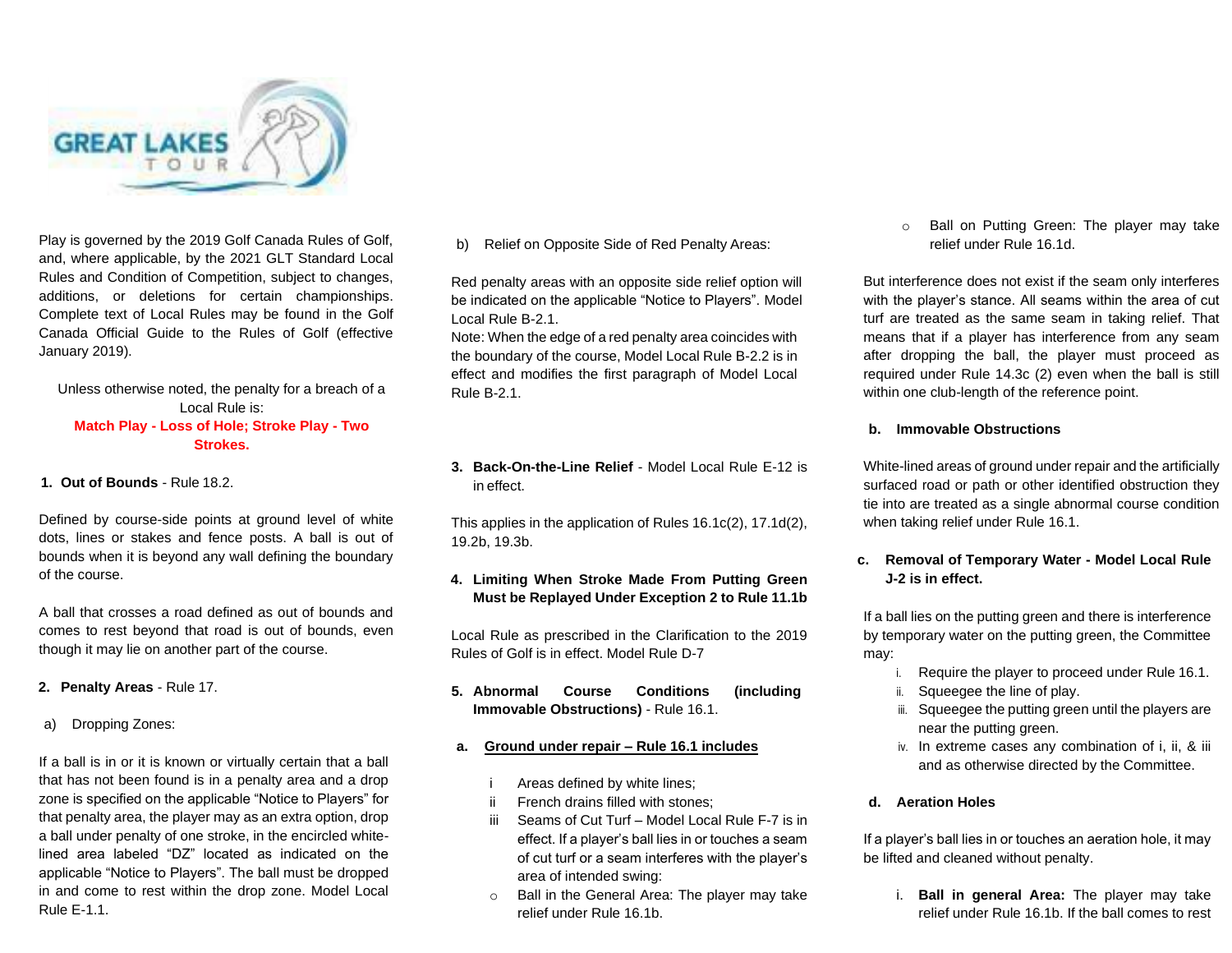

Play is governed by the 2019 Golf Canada Rules of Golf, and, where applicable, by the 2021 GLT Standard Local Rules and Condition of Competition, subject to changes, additions, or deletions for certain championships. Complete text of Local Rules may be found in the Golf Canada Official Guide to the Rules of Golf (effective January 2019).

# Unless otherwise noted, the penalty for a breach of a Local Rule is: **Match Play - Loss of Hole; Stroke Play - Two Strokes.**

**1. Out of Bounds** - Rule 18.2.

Defined by course-side points at ground level of white dots, lines or stakes and fence posts. A ball is out of bounds when it is beyond any wall defining the boundary of the course.

A ball that crosses a road defined as out of bounds and comes to rest beyond that road is out of bounds, even though it may lie on another part of the course.

**2. Penalty Areas** - Rule 17.

a) Dropping Zones:

If a ball is in or it is known or virtually certain that a ball that has not been found is in a penalty area and a drop zone is specified on the applicable "Notice to Players" for that penalty area, the player may as an extra option, drop a ball under penalty of one stroke, in the encircled whitelined area labeled "DZ" located as indicated on the applicable "Notice to Players". The ball must be dropped in and come to rest within the drop zone. Model Local Rule E-1.1.

b) Relief on Opposite Side of Red Penalty Areas:

Red penalty areas with an opposite side relief option will be indicated on the applicable "Notice to Players". Model Local Rule B-2.1.

Note: When the edge of a red penalty area coincides with the boundary of the course, Model Local Rule B-2.2 is in effect and modifies the first paragraph of Model Local Rule B-2.1.

**3. Back-On-the-Line Relief** - Model Local Rule E-12 is in effect.

This applies in the application of Rules 16.1c(2), 17.1d(2), 19.2b, 19.3b.

# **4. Limiting When Stroke Made From Putting Green Must be Replayed Under Exception 2 to Rule 11.1b**

Local Rule as prescribed in the Clarification to the 2019 Rules of Golf is in effect. Model Rule D-7

**5. Abnormal Course Conditions (including Immovable Obstructions)** - Rule 16.1.

# **a. Ground under repair – Rule 16.1 includes**

- Areas defined by white lines;
- French drains filled with stones;
- iii Seams of Cut Turf Model Local Rule F-7 is in effect. If a player's ball lies in or touches a seam of cut turf or a seam interferes with the player's area of intended swing:
- o Ball in the General Area: The player may take relief under Rule 16.1b.

o Ball on Putting Green: The player may take relief under Rule 16.1d.

But interference does not exist if the seam only interferes with the player's stance. All seams within the area of cut turf are treated as the same seam in taking relief. That means that if a player has interference from any seam after dropping the ball, the player must proceed as required under Rule 14.3c (2) even when the ball is still within one club-length of the reference point.

#### **b. Immovable Obstructions**

White-lined areas of ground under repair and the artificially surfaced road or path or other identified obstruction they tie into are treated as a single abnormal course condition when taking relief under Rule 16.1.

# **c. Removal of Temporary Water - Model Local Rule J-2 is in effect.**

If a ball lies on the putting green and there is interference by temporary water on the putting green, the Committee may:

- i. Require the player to proceed under Rule 16.1.
- ii. Squeegee the line of play.
- iii. Squeegee the putting green until the players are near the putting green.
- iv. In extreme cases any combination of i, ii, & iii and as otherwise directed by the Committee.

# **d. Aeration Holes**

If a player's ball lies in or touches an aeration hole, it may be lifted and cleaned without penalty.

i. **Ball in general Area:** The player may take relief under Rule 16.1b. If the ball comes to rest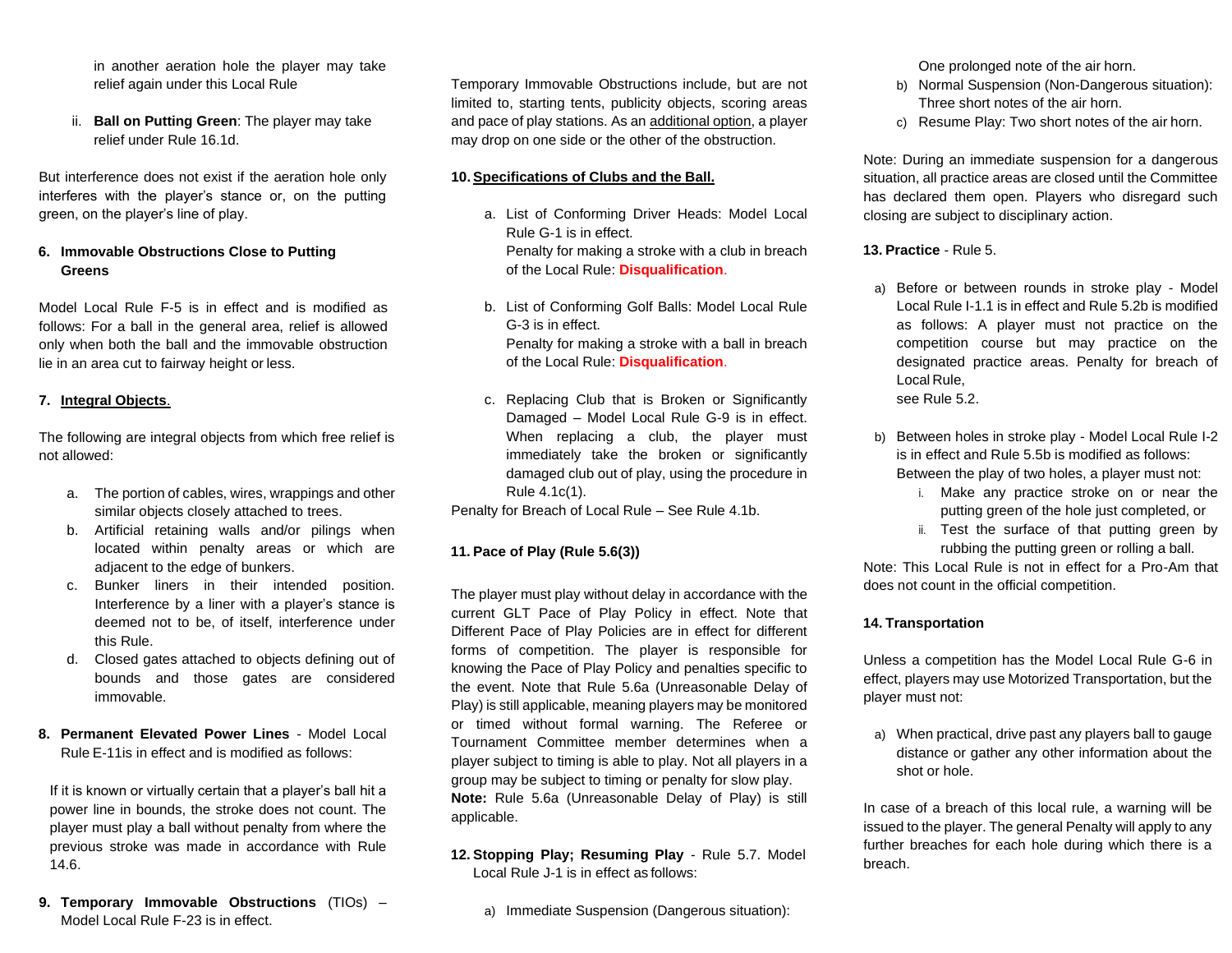in another aeration hole the player may take relief again under this Local Rule

ii. **Ball on Putting Green**: The player may take relief under Rule 16.1d.

But interference does not exist if the aeration hole only interferes with the player's stance or, on the putting green, on the player's line of play.

# **6. Immovable Obstructions Close to Putting Greens**

Model Local Rule F-5 is in effect and is modified as follows: For a ball in the general area, relief is allowed only when both the ball and the immovable obstruction lie in an area cut to fairway height or less.

# **7. Integral Objects**.

The following are integral objects from which free relief is not allowed:

- a. The portion of cables, wires, wrappings and other similar objects closely attached to trees.
- b. Artificial retaining walls and/or pilings when located within penalty areas or which are adjacent to the edge of bunkers.
- c. Bunker liners in their intended position. Interference by a liner with a player's stance is deemed not to be, of itself, interference under this Rule.
- d. Closed gates attached to objects defining out of bounds and those gates are considered immovable.
- **8. Permanent Elevated Power Lines**  Model Local Rule E-11is in effect and is modified as follows:

If it is known or virtually certain that a player's ball hit a power line in bounds, the stroke does not count. The player must play a ball without penalty from where the previous stroke was made in accordance with Rule 14.6.

**9. Temporary Immovable Obstructions** (TIOs) – Model Local Rule F-23 is in effect.

Temporary Immovable Obstructions include, but are not limited to, starting tents, publicity objects, scoring areas and pace of play stations. As an additional option, a player may drop on one side or the other of the obstruction.

#### **10. Specifications of Clubs and the Ball.**

- a. List of Conforming Driver Heads: Model Local Rule G-1 is in effect. Penalty for making a stroke with a club in breach of the Local Rule: **Disqualification**.
- b. List of Conforming Golf Balls: Model Local Rule G-3 is in effect. Penalty for making a stroke with a ball in breach of the Local Rule: **Disqualification**.
- c. Replacing Club that is Broken or Significantly Damaged – Model Local Rule G-9 is in effect. When replacing a club, the player must immediately take the broken or significantly damaged club out of play, using the procedure in Rule 4.1c(1).

Penalty for Breach of Local Rule – See Rule 4.1b.

# **11. Pace of Play (Rule 5.6(3))**

The player must play without delay in accordance with the current GLT Pace of Play Policy in effect. Note that Different Pace of Play Policies are in effect for different forms of competition. The player is responsible for knowing the Pace of Play Policy and penalties specific to the event. Note that Rule 5.6a (Unreasonable Delay of Play) is still applicable, meaning players may be monitored or timed without formal warning. The Referee or Tournament Committee member determines when a player subject to timing is able to play. Not all players in a group may be subject to timing or penalty for slow play. **Note:** Rule 5.6a (Unreasonable Delay of Play) is still applicable.

**12. Stopping Play; Resuming Play** - Rule 5.7. Model Local Rule J-1 is in effect as follows:

a) Immediate Suspension (Dangerous situation):

One prolonged note of the air horn.

- b) Normal Suspension (Non-Dangerous situation): Three short notes of the air horn.
- c) Resume Play: Two short notes of the air horn.

Note: During an immediate suspension for a dangerous situation, all practice areas are closed until the Committee has declared them open. Players who disregard such closing are subject to disciplinary action.

# **13. Practice** - Rule 5.

a) Before or between rounds in stroke play - Model Local Rule I-1.1 is in effect and Rule 5.2b is modified as follows: A player must not practice on the competition course but may practice on the designated practice areas. Penalty for breach of Local Rule, see Rule 5.2.

- b) Between holes in stroke play Model Local Rule I-2 is in effect and Rule 5.5b is modified as follows: Between the play of two holes, a player must not:
	- i. Make any practice stroke on or near the putting green of the hole just completed, or
	- ii. Test the surface of that putting green by rubbing the putting green or rolling a ball.

Note: This Local Rule is not in effect for a Pro-Am that does not count in the official competition.

# **14. Transportation**

Unless a competition has the Model Local Rule G-6 in effect, players may use Motorized Transportation, but the player must not:

a) When practical, drive past any players ball to gauge distance or gather any other information about the shot or hole.

In case of a breach of this local rule, a warning will be issued to the player. The general Penalty will apply to any further breaches for each hole during which there is a breach.